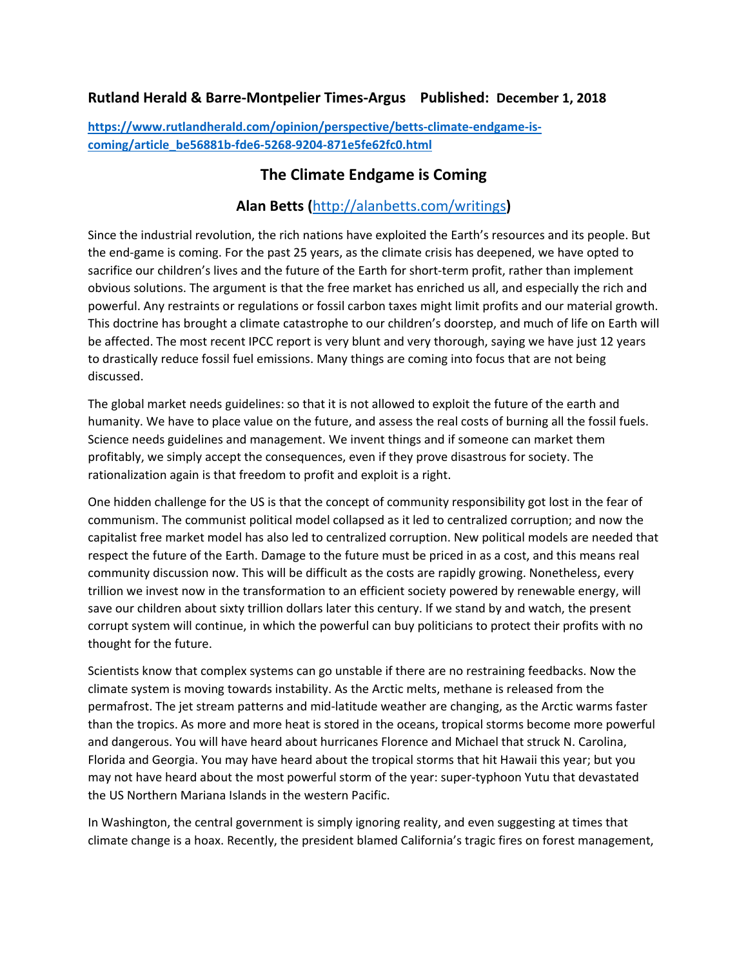## **Rutland Herald & Barre-Montpelier Times-Argus Published: December 1, 2018**

**[https://www.rutlandherald.com/opinion/perspective/betts-climate-endgame-is](https://www.rutlandherald.com/opinion/perspective/betts-climate-endgame-is-coming/article_be56881b-fde6-5268-9204-871e5fe62fc0.html)[coming/article\\_be56881b-fde6-5268-9204-871e5fe62fc0.html](https://www.rutlandherald.com/opinion/perspective/betts-climate-endgame-is-coming/article_be56881b-fde6-5268-9204-871e5fe62fc0.html)**

## **The Climate Endgame is Coming**

## **Alan Betts (**<http://alanbetts.com/writings>**)**

Since the industrial revolution, the rich nations have exploited the Earth's resources and its people. But the end-game is coming. For the past 25 years, as the climate crisis has deepened, we have opted to sacrifice our children's lives and the future of the Earth for short-term profit, rather than implement obvious solutions. The argument is that the free market has enriched us all, and especially the rich and powerful. Any restraints or regulations or fossil carbon taxes might limit profits and our material growth. This doctrine has brought a climate catastrophe to our children's doorstep, and much of life on Earth will be affected. The most recent IPCC report is very blunt and very thorough, saying we have just 12 years to drastically reduce fossil fuel emissions. Many things are coming into focus that are not being discussed.

The global market needs guidelines: so that it is not allowed to exploit the future of the earth and humanity. We have to place value on the future, and assess the real costs of burning all the fossil fuels. Science needs guidelines and management. We invent things and if someone can market them profitably, we simply accept the consequences, even if they prove disastrous for society. The rationalization again is that freedom to profit and exploit is a right.

One hidden challenge for the US is that the concept of community responsibility got lost in the fear of communism. The communist political model collapsed as it led to centralized corruption; and now the capitalist free market model has also led to centralized corruption. New political models are needed that respect the future of the Earth. Damage to the future must be priced in as a cost, and this means real community discussion now. This will be difficult as the costs are rapidly growing. Nonetheless, every trillion we invest now in the transformation to an efficient society powered by renewable energy, will save our children about sixty trillion dollars later this century. If we stand by and watch, the present corrupt system will continue, in which the powerful can buy politicians to protect their profits with no thought for the future.

Scientists know that complex systems can go unstable if there are no restraining feedbacks. Now the climate system is moving towards instability. As the Arctic melts, methane is released from the permafrost. The jet stream patterns and mid-latitude weather are changing, as the Arctic warms faster than the tropics. As more and more heat is stored in the oceans, tropical storms become more powerful and dangerous. You will have heard about hurricanes Florence and Michael that struck N. Carolina, Florida and Georgia. You may have heard about the tropical storms that hit Hawaii this year; but you may not have heard about the most powerful storm of the year: super-typhoon Yutu that devastated the US Northern Mariana Islands in the western Pacific.

In Washington, the central government is simply ignoring reality, and even suggesting at times that climate change is a hoax. Recently, the president blamed California's tragic fires on forest management,